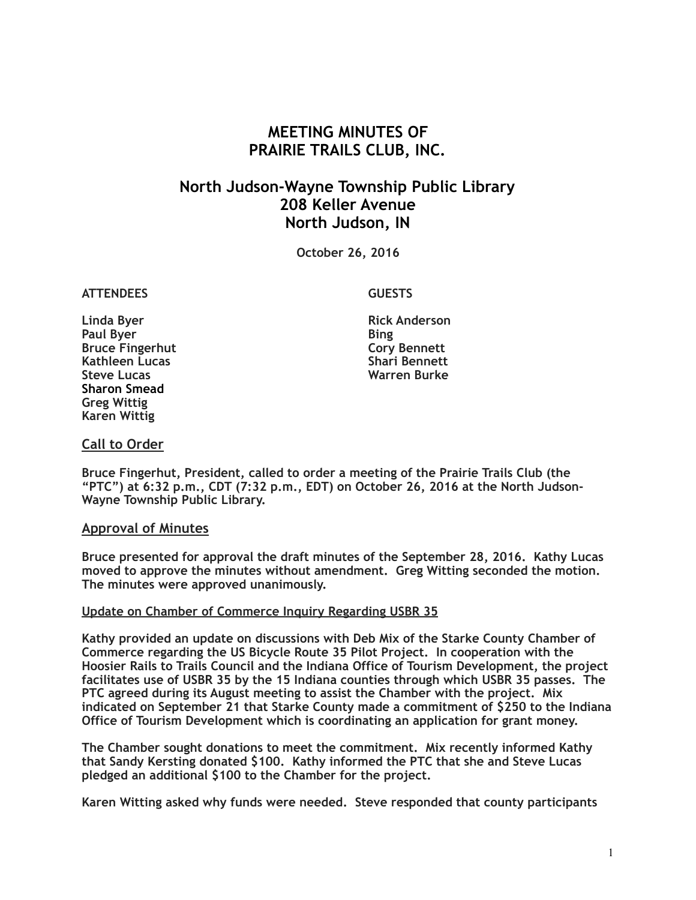# **MEETING MINUTES OF PRAIRIE TRAILS CLUB, INC.**

## **North Judson-Wayne Township Public Library 208 Keller Avenue North Judson, IN**

**October 26, 2016**

### **ATTENDEES GUESTS**

**Linda Byer Rick Anderson Paul Byer** Bing **Bruce Fingerhut Cory Bennett**<br> **Kathleen Lucas**<br> **Cory Bennett**<br> **Cory Bennett Kathleen Lucas**<br>Steve Lucas **Sharon Smead Greg Wittig Karen Wittig**

**Warren Burke** 

## **Call to Order**

**Bruce Fingerhut, President, called to order a meeting of the Prairie Trails Club (the "PTC") at 6:32 p.m., CDT (7:32 p.m., EDT) on October 26, 2016 at the North Judson-Wayne Township Public Library.**

### **Approval of Minutes**

**Bruce presented for approval the draft minutes of the September 28, 2016. Kathy Lucas moved to approve the minutes without amendment. Greg Witting seconded the motion. The minutes were approved unanimously.**

### **Update on Chamber of Commerce Inquiry Regarding USBR 35**

**Kathy provided an update on discussions with Deb Mix of the Starke County Chamber of Commerce regarding the US Bicycle Route 35 Pilot Project. In cooperation with the Hoosier Rails to Trails Council and the Indiana Office of Tourism Development, the project facilitates use of USBR 35 by the 15 Indiana counties through which USBR 35 passes. The PTC agreed during its August meeting to assist the Chamber with the project. Mix indicated on September 21 that Starke County made a commitment of \$250 to the Indiana Office of Tourism Development which is coordinating an application for grant money.** 

**The Chamber sought donations to meet the commitment. Mix recently informed Kathy that Sandy Kersting donated \$100. Kathy informed the PTC that she and Steve Lucas pledged an additional \$100 to the Chamber for the project.** 

**Karen Witting asked why funds were needed. Steve responded that county participants**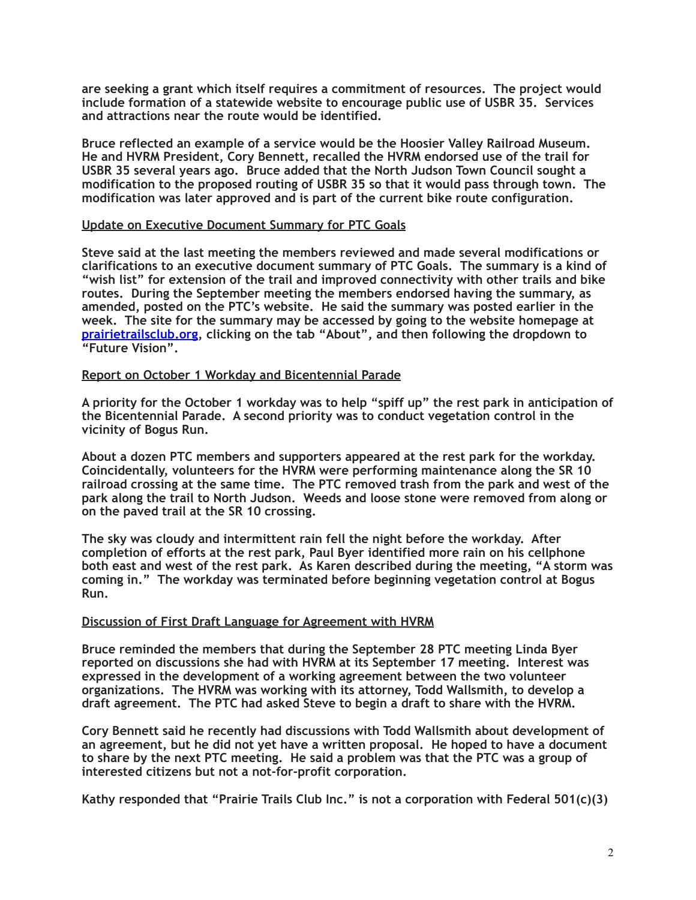**are seeking a grant which itself requires a commitment of resources. The project would include formation of a statewide website to encourage public use of USBR 35. Services and attractions near the route would be identified.** 

**Bruce reflected an example of a service would be the Hoosier Valley Railroad Museum. He and HVRM President, Cory Bennett, recalled the HVRM endorsed use of the trail for USBR 35 several years ago. Bruce added that the North Judson Town Council sought a modification to the proposed routing of USBR 35 so that it would pass through town. The modification was later approved and is part of the current bike route configuration.**

### **Update on Executive Document Summary for PTC Goals**

**Steve said at the last meeting the members reviewed and made several modifications or clarifications to an executive document summary of PTC Goals. The summary is a kind of "wish list" for extension of the trail and improved connectivity with other trails and bike routes. During the September meeting the members endorsed having the summary, as amended, posted on the PTC's website. He said the summary was posted earlier in the week. The site for the summary may be accessed by going to the website homepage at [prairietrailsclub.org](http://prairietrailsclub.org), clicking on the tab "About", and then following the dropdown to "Future Vision".**

#### **Report on October 1 Workday and Bicentennial Parade**

**A priority for the October 1 workday was to help "spiff up" the rest park in anticipation of the Bicentennial Parade. A second priority was to conduct vegetation control in the vicinity of Bogus Run.** 

**About a dozen PTC members and supporters appeared at the rest park for the workday. Coincidentally, volunteers for the HVRM were performing maintenance along the SR 10 railroad crossing at the same time. The PTC removed trash from the park and west of the park along the trail to North Judson. Weeds and loose stone were removed from along or on the paved trail at the SR 10 crossing.** 

**The sky was cloudy and intermittent rain fell the night before the workday. After completion of efforts at the rest park, Paul Byer identified more rain on his cellphone both east and west of the rest park. As Karen described during the meeting, "A storm was coming in." The workday was terminated before beginning vegetation control at Bogus Run.** 

### **Discussion of First Draft Language for Agreement with HVRM**

**Bruce reminded the members that during the September 28 PTC meeting Linda Byer reported on discussions she had with HVRM at its September 17 meeting. Interest was expressed in the development of a working agreement between the two volunteer organizations. The HVRM was working with its attorney, Todd Wallsmith, to develop a draft agreement. The PTC had asked Steve to begin a draft to share with the HVRM.** 

**Cory Bennett said he recently had discussions with Todd Wallsmith about development of an agreement, but he did not yet have a written proposal. He hoped to have a document to share by the next PTC meeting. He said a problem was that the PTC was a group of interested citizens but not a not-for-profit corporation.** 

**Kathy responded that "Prairie Trails Club Inc." is not a corporation with Federal 501(c)(3)**